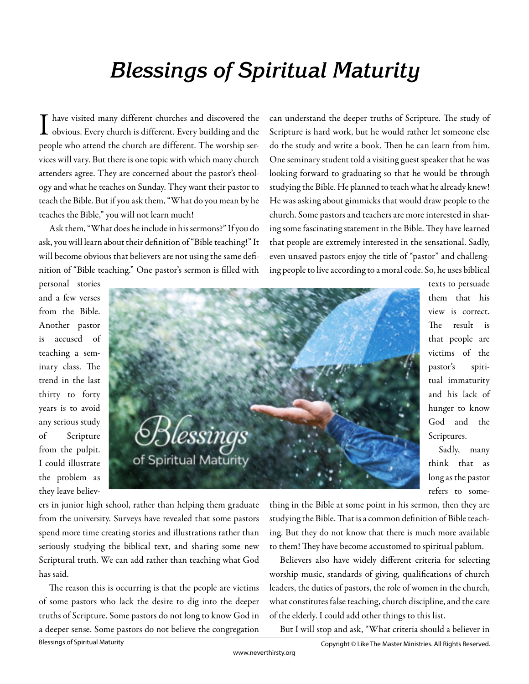## **Blessings of Spiritual Maturity**

have visited many different churches and discovered the obvious. Every church is different. Every building and the people who attend the church are different. The worship services will vary. But there is one topic with which many church attenders agree. They are concerned about the pastor's theology and what he teaches on Sunday. They want their pastor to teach the Bible. But if you ask them, "What do you mean by he teaches the Bible," you will not learn much!

Ask them, "What does he include in his sermons?" If you do ask, you will learn about their definition of "Bible teaching!" It will become obvious that believers are not using the same definition of "Bible teaching." One pastor's sermon is filled with

can understand the deeper truths of Scripture. The study of Scripture is hard work, but he would rather let someone else do the study and write a book. Then he can learn from him. One seminary student told a visiting guest speaker that he was looking forward to graduating so that he would be through studying the Bible. He planned to teach what he already knew! He was asking about gimmicks that would draw people to the church. Some pastors and teachers are more interested in sharing some fascinating statement in the Bible. They have learned that people are extremely interested in the sensational. Sadly, even unsaved pastors enjoy the title of "pastor" and challenging people to live according to a moral code. So, he uses biblical

personal stories and a few verses from the Bible. Another pastor is accused of teaching a seminary class. The trend in the last thirty to forty years is to avoid any serious study of Scripture from the pulpit. I could illustrate the problem as they leave believ-



texts to persuade them that his view is correct. The result is that people are victims of the pastor's spiritual immaturity and his lack of hunger to know God and the Scriptures.

Sadly, many think that as long as the pastor refers to some-

ers in junior high school, rather than helping them graduate from the university. Surveys have revealed that some pastors spend more time creating stories and illustrations rather than seriously studying the biblical text, and sharing some new Scriptural truth. We can add rather than teaching what God has said.

The reason this is occurring is that the people are victims of some pastors who lack the desire to dig into the deeper truths of Scripture. Some pastors do not long to know God in a deeper sense. Some pastors do not believe the congregation thing in the Bible at some point in his sermon, then they are studying the Bible. That is a common definition of Bible teaching. But they do not know that there is much more available to them! They have become accustomed to spiritual pablum.

Believers also have widely different criteria for selecting worship music, standards of giving, qualifications of church leaders, the duties of pastors, the role of women in the church, what constitutes false teaching, church discipline, and the care of the elderly. I could add other things to this list.

But I will stop and ask, "What criteria should a believer in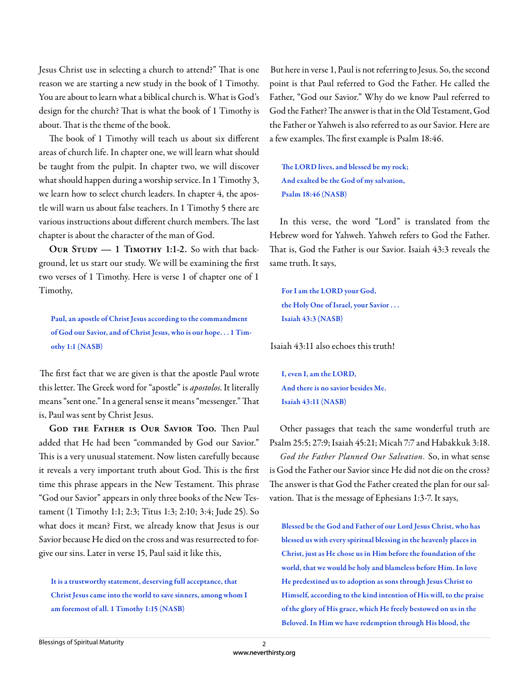Jesus Christ use in selecting a church to attend?" That is one reason we are starting a new study in the book of 1 Timothy. You are about to learn what a biblical church is. What is God's design for the church? That is what the book of 1 Timothy is about. That is the theme of the book.

The book of 1 Timothy will teach us about six different areas of church life. In chapter one, we will learn what should be taught from the pulpit. In chapter two, we will discover what should happen during a worship service. In 1 Timothy 3, we learn how to select church leaders. In chapter 4, the apostle will warn us about false teachers. In 1 Timothy 5 there are various instructions about different church members. The last chapter is about the character of the man of God.

OUR STUDY - 1 TIMOTHY 1:1-2. So with that background, let us start our study. We will be examining the first two verses of 1 Timothy. Here is verse 1 of chapter one of 1 Timothy,

Paul, an apostle of Christ Jesus according to the commandment of God our Savior, and of Christ Jesus, who is our hope. . . 1 Timothy 1:1 (NASB)

The first fact that we are given is that the apostle Paul wrote this letter. The Greek word for "apostle" is *apostolos*. It literally means "sent one." In a general sense it means "messenger." That is, Paul was sent by Christ Jesus.

GOD THE FATHER IS OUR SAVIOR TOO. Then Paul added that He had been "commanded by God our Savior." This is a very unusual statement. Now listen carefully because it reveals a very important truth about God. This is the first time this phrase appears in the New Testament. This phrase "God our Savior" appears in only three books of the New Testament (1 Timothy 1:1; 2:3; Titus 1:3; 2:10; 3:4; Jude 25). So what does it mean? First, we already know that Jesus is our Savior because He died on the cross and was resurrected to forgive our sins. Later in verse 15, Paul said it like this,

It is a trustworthy statement, deserving full acceptance, that Christ Jesus came into the world to save sinners, among whom I am foremost of all. 1 Timothy 1:15 (NASB)

But here in verse 1, Paul is not referring to Jesus. So, the second point is that Paul referred to God the Father. He called the Father, "God our Savior." Why do we know Paul referred to God the Father? The answer is that in the Old Testament, God the Father or Yahweh is also referred to as our Savior. Here are a few examples. The first example is Psalm 18:46.

The LORD lives, and blessed be my rock; And exalted be the God of my salvation, Psalm 18:46 (NASB)

In this verse, the word "Lord" is translated from the Hebrew word for Yahweh. Yahweh refers to God the Father. That is, God the Father is our Savior. Isaiah 43:3 reveals the same truth. It says,

For I am the LORD your God, the Holy One of Israel, your Savior . . . Isaiah 43:3 (NASB)

Isaiah 43:11 also echoes this truth!

I, even I, am the LORD, And there is no savior besides Me. Isaiah 43:11 (NASB)

Other passages that teach the same wonderful truth are Psalm 25:5; 27:9; Isaiah 45:21; Micah 7:7 and Habakkuk 3:18. *God the Father Planned Our Salvation.* So, in what sense is God the Father our Savior since He did not die on the cross? The answer is that God the Father created the plan for our salvation. That is the message of Ephesians 1:3-7. It says,

Blessed be the God and Father of our Lord Jesus Christ, who has blessed us with every spiritual blessing in the heavenly places in Christ, just as He chose us in Him before the foundation of the world, that we would be holy and blameless before Him. In love He predestined us to adoption as sons through Jesus Christ to Himself, according to the kind intention of His will, to the praise of the glory of His grace, which He freely bestowed on us in the Beloved. In Him we have redemption through His blood, the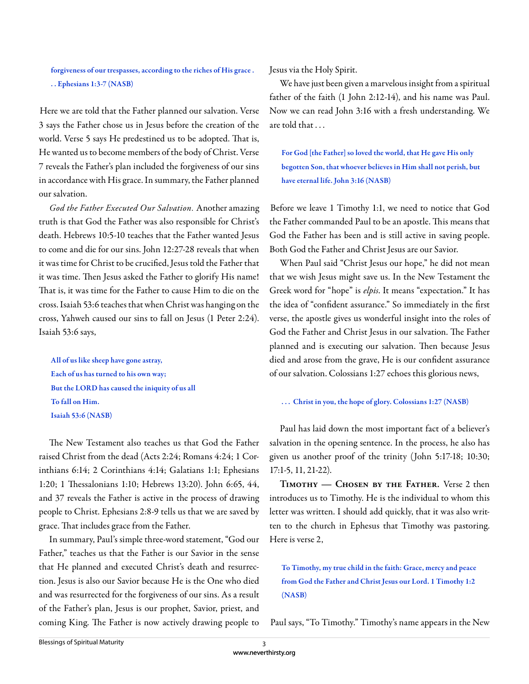forgiveness of our trespasses, according to the riches of His grace . . . Ephesians 1:3-7 (NASB)

Here we are told that the Father planned our salvation. Verse 3 says the Father chose us in Jesus before the creation of the world. Verse 5 says He predestined us to be adopted. That is, He wanted us to become members of the body of Christ. Verse 7 reveals the Father's plan included the forgiveness of our sins in accordance with His grace. In summary, the Father planned our salvation.

*God the Father Executed Our Salvation.* Another amazing truth is that God the Father was also responsible for Christ's death. Hebrews 10:5-10 teaches that the Father wanted Jesus to come and die for our sins. John 12:27-28 reveals that when it was time for Christ to be crucified, Jesus told the Father that it was time. Then Jesus asked the Father to glorify His name! That is, it was time for the Father to cause Him to die on the cross. Isaiah 53:6 teaches that when Christ was hanging on the cross, Yahweh caused our sins to fall on Jesus (1 Peter 2:24). Isaiah 53:6 says,

All of us like sheep have gone astray, Each of us has turned to his own way; But the LORD has caused the iniquity of us all To fall on Him. Isaiah 53:6 (NASB)

The New Testament also teaches us that God the Father raised Christ from the dead (Acts 2:24; Romans 4:24; 1 Corinthians 6:14; 2 Corinthians 4:14; Galatians 1:1; Ephesians 1:20; 1 Thessalonians 1:10; Hebrews 13:20). John 6:65, 44, and 37 reveals the Father is active in the process of drawing people to Christ. Ephesians 2:8-9 tells us that we are saved by grace. That includes grace from the Father.

In summary, Paul's simple three-word statement, "God our Father," teaches us that the Father is our Savior in the sense that He planned and executed Christ's death and resurrection. Jesus is also our Savior because He is the One who died and was resurrected for the forgiveness of our sins. As a result of the Father's plan, Jesus is our prophet, Savior, priest, and coming King. The Father is now actively drawing people to

Jesus via the Holy Spirit.

We have just been given a marvelous insight from a spiritual father of the faith (1 John 2:12-14), and his name was Paul. Now we can read John 3:16 with a fresh understanding. We are told that . . .

For God [the Father] so loved the world, that He gave His only begotten Son, that whoever believes in Him shall not perish, but have eternal life. John 3:16 (NASB)

Before we leave 1 Timothy 1:1, we need to notice that God the Father commanded Paul to be an apostle. This means that God the Father has been and is still active in saving people. Both God the Father and Christ Jesus are our Savior.

When Paul said "Christ Jesus our hope," he did not mean that we wish Jesus might save us. In the New Testament the Greek word for "hope" is *elpis*. It means "expectation." It has the idea of "confident assurance." So immediately in the first verse, the apostle gives us wonderful insight into the roles of God the Father and Christ Jesus in our salvation. The Father planned and is executing our salvation. Then because Jesus died and arose from the grave, He is our confident assurance of our salvation. Colossians 1:27 echoes this glorious news,

## ... Christ in you, the hope of glory. Colossians 1:27 (NASB)

Paul has laid down the most important fact of a believer's salvation in the opening sentence. In the process, he also has given us another proof of the trinity (John 5:17-18; 10:30; 17:1-5, 11, 21-22).

**Timothy — Chosen by the Father.** Verse 2 then introduces us to Timothy. He is the individual to whom this letter was written. I should add quickly, that it was also written to the church in Ephesus that Timothy was pastoring. Here is verse 2,

## To Timothy, my true child in the faith: Grace, mercy and peace from God the Father and Christ Jesus our Lord. 1 Timothy 1:2 (NASB)

Paul says, "To Timothy." Timothy's name appears in the New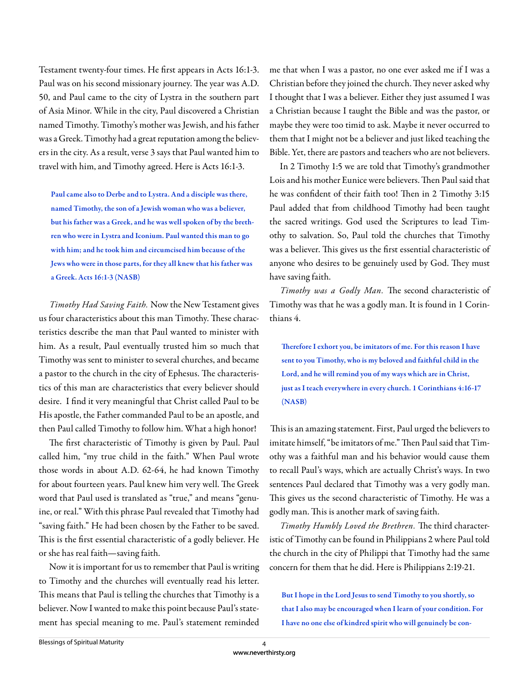Testament twenty-four times. He first appears in Acts 16:1-3. Paul was on his second missionary journey. The year was A.D. 50, and Paul came to the city of Lystra in the southern part of Asia Minor. While in the city, Paul discovered a Christian named Timothy. Timothy's mother was Jewish, and his father was a Greek. Timothy had a great reputation among the believers in the city. As a result, verse 3 says that Paul wanted him to travel with him, and Timothy agreed. Here is Acts 16:1-3.

Paul came also to Derbe and to Lystra. And a disciple was there, named Timothy, the son of a Jewish woman who was a believer, but his father was a Greek, and he was well spoken of by the brethren who were in Lystra and Iconium. Paul wanted this man to go with him; and he took him and circumcised him because of the Jews who were in those parts, for they all knew that his father was a Greek. Acts 16:1-3 (NASB)

*Timothy Had Saving Faith.* Now the New Testament gives us four characteristics about this man Timothy. These characteristics describe the man that Paul wanted to minister with him. As a result, Paul eventually trusted him so much that Timothy was sent to minister to several churches, and became a pastor to the church in the city of Ephesus. The characteristics of this man are characteristics that every believer should desire. I find it very meaningful that Christ called Paul to be His apostle, the Father commanded Paul to be an apostle, and then Paul called Timothy to follow him. What a high honor!

The first characteristic of Timothy is given by Paul. Paul called him, "my true child in the faith." When Paul wrote those words in about A.D. 62-64, he had known Timothy for about fourteen years. Paul knew him very well. The Greek word that Paul used is translated as "true," and means "genuine, or real." With this phrase Paul revealed that Timothy had "saving faith." He had been chosen by the Father to be saved. This is the first essential characteristic of a godly believer. He or she has real faith—saving faith.

Now it is important for us to remember that Paul is writing to Timothy and the churches will eventually read his letter. This means that Paul is telling the churches that Timothy is a believer. Now I wanted to make this point because Paul's statement has special meaning to me. Paul's statement reminded

me that when I was a pastor, no one ever asked me if I was a Christian before they joined the church. They never asked why I thought that I was a believer. Either they just assumed I was a Christian because I taught the Bible and was the pastor, or maybe they were too timid to ask. Maybe it never occurred to them that I might not be a believer and just liked teaching the Bible. Yet, there are pastors and teachers who are not believers.

In 2 Timothy 1:5 we are told that Timothy's grandmother Lois and his mother Eunice were believers. Then Paul said that he was confident of their faith too! Then in 2 Timothy 3:15 Paul added that from childhood Timothy had been taught the sacred writings. God used the Scriptures to lead Timothy to salvation. So, Paul told the churches that Timothy was a believer. This gives us the first essential characteristic of anyone who desires to be genuinely used by God. They must have saving faith.

*Timothy was a Godly Man.* The second characteristic of Timothy was that he was a godly man. It is found in 1 Corinthians 4.

Therefore I exhort you, be imitators of me. For this reason I have sent to you Timothy, who is my beloved and faithful child in the Lord, and he will remind you of my ways which are in Christ, just as I teach everywhere in every church. 1 Corinthians 4:16-17 (NASB)

This is an amazing statement. First, Paul urged the believers to imitate himself, "be imitators of me." Then Paul said that Timothy was a faithful man and his behavior would cause them to recall Paul's ways, which are actually Christ's ways. In two sentences Paul declared that Timothy was a very godly man. This gives us the second characteristic of Timothy. He was a godly man. This is another mark of saving faith.

*Timothy Humbly Loved the Brethren*. The third characteristic of Timothy can be found in Philippians 2 where Paul told the church in the city of Philippi that Timothy had the same concern for them that he did. Here is Philippians 2:19-21.

But I hope in the Lord Jesus to send Timothy to you shortly, so that I also may be encouraged when I learn of your condition. For I have no one else of kindred spirit who will genuinely be con